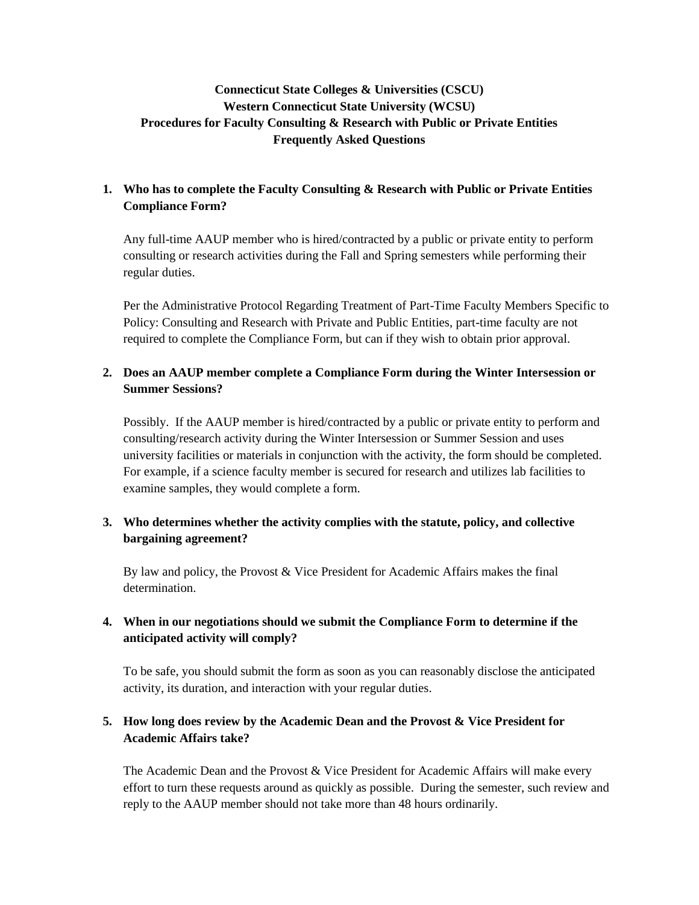# **Connecticut State Colleges & Universities (CSCU) Western Connecticut State University (WCSU) Procedures for Faculty Consulting & Research with Public or Private Entities Frequently Asked Questions**

## **1. Who has to complete the Faculty Consulting & Research with Public or Private Entities Compliance Form?**

Any full-time AAUP member who is hired/contracted by a public or private entity to perform consulting or research activities during the Fall and Spring semesters while performing their regular duties.

Per the Administrative Protocol Regarding Treatment of Part-Time Faculty Members Specific to Policy: Consulting and Research with Private and Public Entities, part-time faculty are not required to complete the Compliance Form, but can if they wish to obtain prior approval.

## **2. Does an AAUP member complete a Compliance Form during the Winter Intersession or Summer Sessions?**

Possibly. If the AAUP member is hired/contracted by a public or private entity to perform and consulting/research activity during the Winter Intersession or Summer Session and uses university facilities or materials in conjunction with the activity, the form should be completed. For example, if a science faculty member is secured for research and utilizes lab facilities to examine samples, they would complete a form.

## **3. Who determines whether the activity complies with the statute, policy, and collective bargaining agreement?**

By law and policy, the Provost & Vice President for Academic Affairs makes the final determination.

# **4. When in our negotiations should we submit the Compliance Form to determine if the anticipated activity will comply?**

To be safe, you should submit the form as soon as you can reasonably disclose the anticipated activity, its duration, and interaction with your regular duties.

## **5. How long does review by the Academic Dean and the Provost & Vice President for Academic Affairs take?**

The Academic Dean and the Provost & Vice President for Academic Affairs will make every effort to turn these requests around as quickly as possible. During the semester, such review and reply to the AAUP member should not take more than 48 hours ordinarily.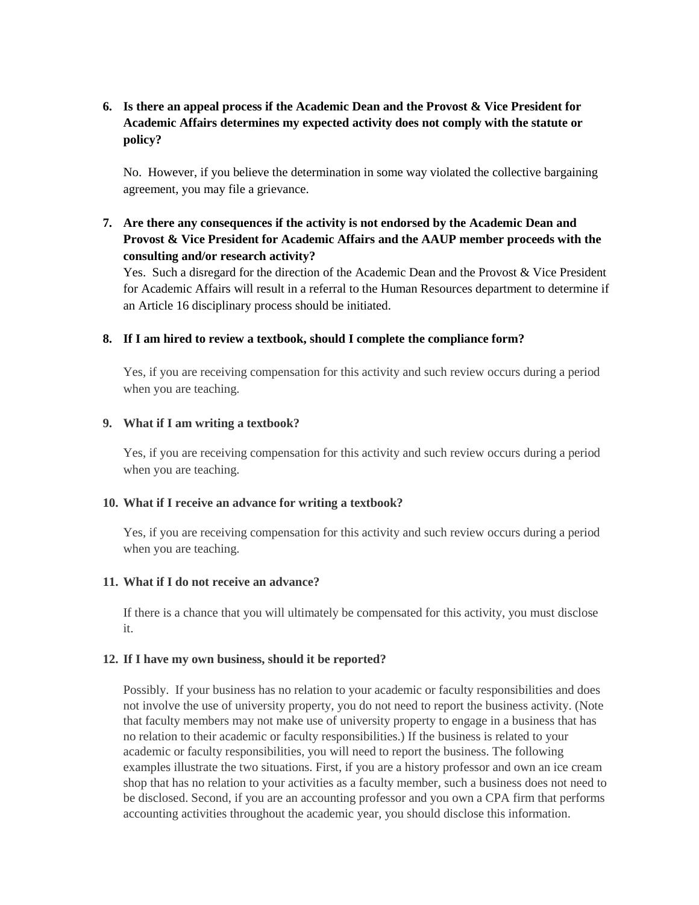## **6. Is there an appeal process if the Academic Dean and the Provost & Vice President for Academic Affairs determines my expected activity does not comply with the statute or policy?**

No. However, if you believe the determination in some way violated the collective bargaining agreement, you may file a grievance.

**7. Are there any consequences if the activity is not endorsed by the Academic Dean and Provost & Vice President for Academic Affairs and the AAUP member proceeds with the consulting and/or research activity?**

Yes. Such a disregard for the direction of the Academic Dean and the Provost & Vice President for Academic Affairs will result in a referral to the Human Resources department to determine if an Article 16 disciplinary process should be initiated.

#### **8. If I am hired to review a textbook, should I complete the compliance form?**

Yes, if you are receiving compensation for this activity and such review occurs during a period when you are teaching.

### **9. What if I am writing a textbook?**

Yes, if you are receiving compensation for this activity and such review occurs during a period when you are teaching.

#### **10. What if I receive an advance for writing a textbook?**

Yes, if you are receiving compensation for this activity and such review occurs during a period when you are teaching.

#### **11. What if I do not receive an advance?**

If there is a chance that you will ultimately be compensated for this activity, you must disclose it.

#### **12. If I have my own business, should it be reported?**

Possibly. If your business has no relation to your academic or faculty responsibilities and does not involve the use of university property, you do not need to report the business activity. (Note that faculty members may not make use of university property to engage in a business that has no relation to their academic or faculty responsibilities.) If the business is related to your academic or faculty responsibilities, you will need to report the business. The following examples illustrate the two situations. First, if you are a history professor and own an ice cream shop that has no relation to your activities as a faculty member, such a business does not need to be disclosed. Second, if you are an accounting professor and you own a CPA firm that performs accounting activities throughout the academic year, you should disclose this information.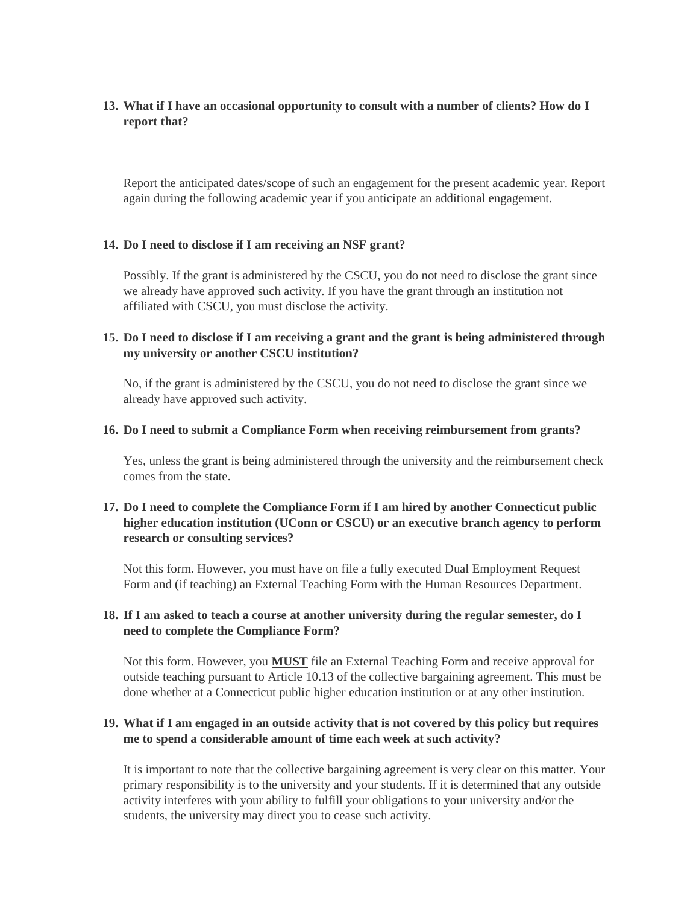### **13. What if I have an occasional opportunity to consult with a number of clients? How do I report that?**

Report the anticipated dates/scope of such an engagement for the present academic year. Report again during the following academic year if you anticipate an additional engagement.

### **14. Do I need to disclose if I am receiving an NSF grant?**

Possibly. If the grant is administered by the CSCU, you do not need to disclose the grant since we already have approved such activity. If you have the grant through an institution not affiliated with CSCU, you must disclose the activity.

### **15. Do I need to disclose if I am receiving a grant and the grant is being administered through my university or another CSCU institution?**

No, if the grant is administered by the CSCU, you do not need to disclose the grant since we already have approved such activity.

#### **16. Do I need to submit a Compliance Form when receiving reimbursement from grants?**

Yes, unless the grant is being administered through the university and the reimbursement check comes from the state.

### **17. Do I need to complete the Compliance Form if I am hired by another Connecticut public higher education institution (UConn or CSCU) or an executive branch agency to perform research or consulting services?**

Not this form. However, you must have on file a fully executed Dual Employment Request Form and (if teaching) an External Teaching Form with the Human Resources Department.

### **18. If I am asked to teach a course at another university during the regular semester, do I need to complete the Compliance Form?**

Not this form. However, you **MUST** file an External Teaching Form and receive approval for outside teaching pursuant to Article 10.13 of the collective bargaining agreement. This must be done whether at a Connecticut public higher education institution or at any other institution.

### **19. What if I am engaged in an outside activity that is not covered by this policy but requires me to spend a considerable amount of time each week at such activity?**

It is important to note that the collective bargaining agreement is very clear on this matter. Your primary responsibility is to the university and your students. If it is determined that any outside activity interferes with your ability to fulfill your obligations to your university and/or the students, the university may direct you to cease such activity.